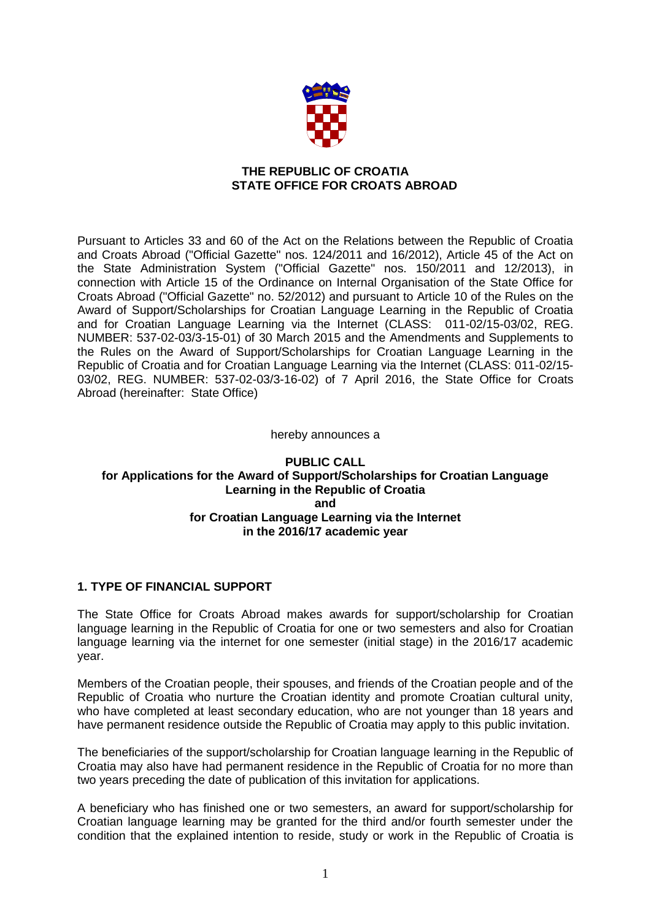

### **THE REPUBLIC OF CROATIA STATE OFFICE FOR CROATS ABROAD**

Pursuant to Articles 33 and 60 of the Act on the Relations between the Republic of Croatia and Croats Abroad ("Official Gazette" nos. 124/2011 and 16/2012), Article 45 of the Act on the State Administration System ("Official Gazette" nos. 150/2011 and 12/2013), in connection with Article 15 of the Ordinance on Internal Organisation of the State Office for Croats Abroad ("Official Gazette" no. 52/2012) and pursuant to Article 10 of the Rules on the Award of Support/Scholarships for Croatian Language Learning in the Republic of Croatia and for Croatian Language Learning via the Internet (CLASS: 011-02/15-03/02, REG. NUMBER: 537-02-03/3-15-01) of 30 March 2015 and the Amendments and Supplements to the Rules on the Award of Support/Scholarships for Croatian Language Learning in the Republic of Croatia and for Croatian Language Learning via the Internet (CLASS: 011-02/15- 03/02, REG. NUMBER: 537-02-03/3-16-02) of 7 April 2016, the State Office for Croats Abroad (hereinafter: State Office)

#### hereby announces a

### **PUBLIC CALL for Applications for the Award of Support/Scholarships for Croatian Language Learning in the Republic of Croatia and for Croatian Language Learning via the Internet in the 2016/17 academic year**

### **1. TYPE OF FINANCIAL SUPPORT**

The State Office for Croats Abroad makes awards for support/scholarship for Croatian language learning in the Republic of Croatia for one or two semesters and also for Croatian language learning via the internet for one semester (initial stage) in the 2016/17 academic year.

Members of the Croatian people, their spouses, and friends of the Croatian people and of the Republic of Croatia who nurture the Croatian identity and promote Croatian cultural unity, who have completed at least secondary education, who are not younger than 18 years and have permanent residence outside the Republic of Croatia may apply to this public invitation.

The beneficiaries of the support/scholarship for Croatian language learning in the Republic of Croatia may also have had permanent residence in the Republic of Croatia for no more than two years preceding the date of publication of this invitation for applications.

A beneficiary who has finished one or two semesters, an award for support/scholarship for Croatian language learning may be granted for the third and/or fourth semester under the condition that the explained intention to reside, study or work in the Republic of Croatia is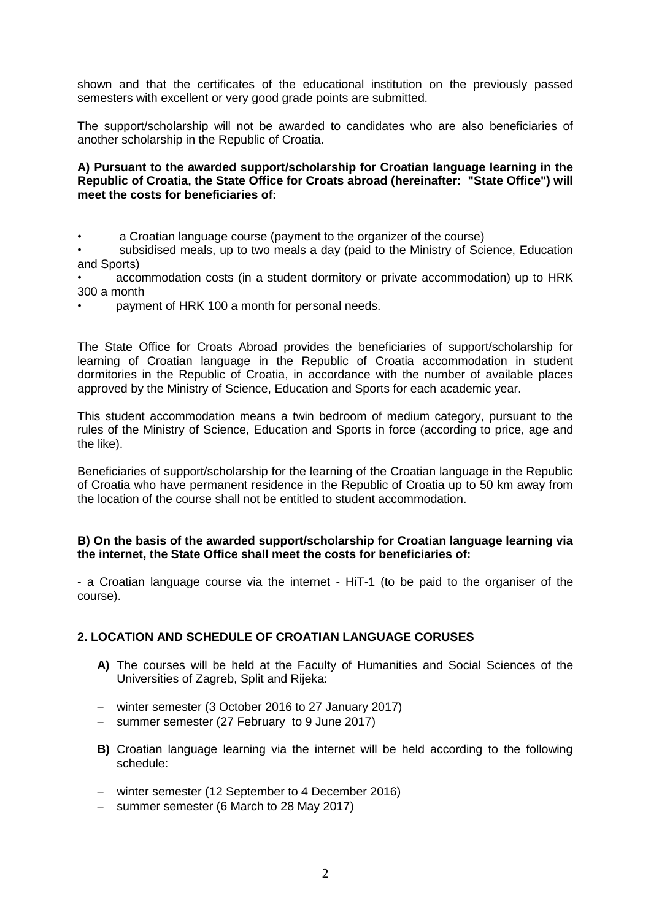shown and that the certificates of the educational institution on the previously passed semesters with excellent or very good grade points are submitted.

The support/scholarship will not be awarded to candidates who are also beneficiaries of another scholarship in the Republic of Croatia.

#### **A) Pursuant to the awarded support/scholarship for Croatian language learning in the Republic of Croatia, the State Office for Croats abroad (hereinafter: "State Office") will meet the costs for beneficiaries of:**

• a Croatian language course (payment to the organizer of the course)

subsidised meals, up to two meals a day (paid to the Ministry of Science, Education and Sports)

• accommodation costs (in a student dormitory or private accommodation) up to HRK 300 a month

• payment of HRK 100 a month for personal needs.

The State Office for Croats Abroad provides the beneficiaries of support/scholarship for learning of Croatian language in the Republic of Croatia accommodation in student dormitories in the Republic of Croatia, in accordance with the number of available places approved by the Ministry of Science, Education and Sports for each academic year.

This student accommodation means a twin bedroom of medium category, pursuant to the rules of the Ministry of Science, Education and Sports in force (according to price, age and the like).

Beneficiaries of support/scholarship for the learning of the Croatian language in the Republic of Croatia who have permanent residence in the Republic of Croatia up to 50 km away from the location of the course shall not be entitled to student accommodation.

### **B) On the basis of the awarded support/scholarship for Croatian language learning via the internet, the State Office shall meet the costs for beneficiaries of:**

- a Croatian language course via the internet - HiT-1 (to be paid to the organiser of the course).

### **2. LOCATION AND SCHEDULE OF CROATIAN LANGUAGE CORUSES**

- **A)** The courses will be held at the Faculty of Humanities and Social Sciences of the Universities of Zagreb, Split and Rijeka:
- winter semester (3 October 2016 to 27 January 2017)
- summer semester (27 February to 9 June 2017)
- **B)** Croatian language learning via the internet will be held according to the following schedule:
- winter semester (12 September to 4 December 2016)
- summer semester (6 March to 28 May 2017)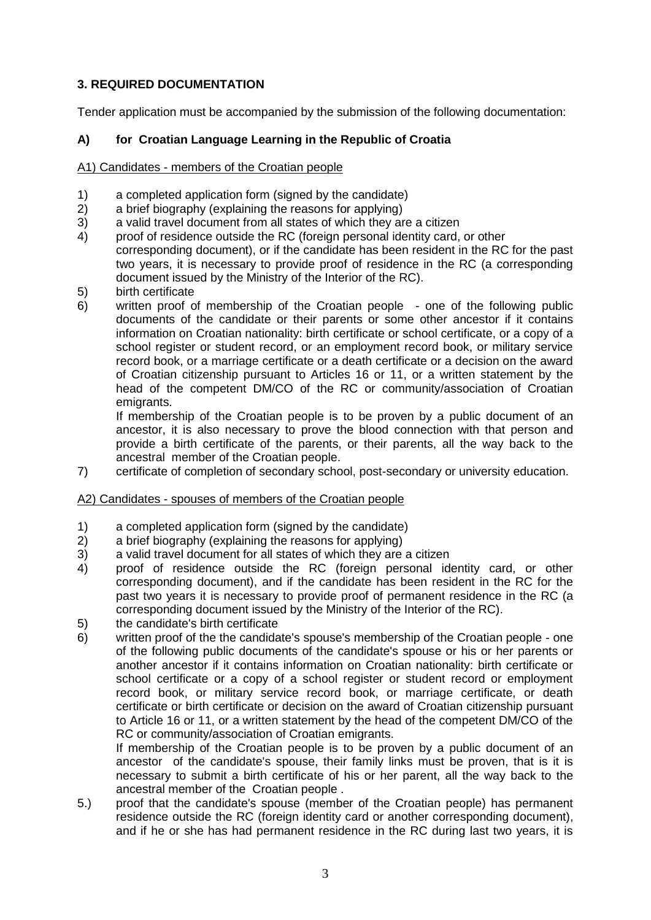# **3. REQUIRED DOCUMENTATION**

Tender application must be accompanied by the submission of the following documentation:

# **A) for Croatian Language Learning in the Republic of Croatia**

### A1) Candidates - members of the Croatian people

- 1) a completed application form (signed by the candidate)
- 2) a brief biography (explaining the reasons for applying)
- 3) a valid travel document from all states of which they are a citizen
- 4) proof of residence outside the RC (foreign personal identity card, or other corresponding document), or if the candidate has been resident in the RC for the past two years, it is necessary to provide proof of residence in the RC (a corresponding document issued by the Ministry of the Interior of the RC).
- 5) birth certificate<br>6) written proof o
- written proof of membership of the Croatian people one of the following public documents of the candidate or their parents or some other ancestor if it contains information on Croatian nationality: birth certificate or school certificate, or a copy of a school register or student record, or an employment record book, or military service record book, or a marriage certificate or a death certificate or a decision on the award of Croatian citizenship pursuant to Articles 16 or 11, or a written statement by the head of the competent DM/CO of the RC or community/association of Croatian emigrants.

If membership of the Croatian people is to be proven by a public document of an ancestor, it is also necessary to prove the blood connection with that person and provide a birth certificate of the parents, or their parents, all the way back to the ancestral member of the Croatian people.

7) certificate of completion of secondary school, post-secondary or university education.

### A2) Candidates - spouses of members of the Croatian people

- 1) a completed application form (signed by the candidate)
- 2) a brief biography (explaining the reasons for applying)
- 3) a valid travel document for all states of which they are a citizen
- 4) proof of residence outside the RC (foreign personal identity card, or other corresponding document), and if the candidate has been resident in the RC for the past two years it is necessary to provide proof of permanent residence in the RC (a corresponding document issued by the Ministry of the Interior of the RC).
- 5) the candidate's birth certificate
- 6) written proof of the the candidate's spouse's membership of the Croatian people one of the following public documents of the candidate's spouse or his or her parents or another ancestor if it contains information on Croatian nationality: birth certificate or school certificate or a copy of a school register or student record or employment record book, or military service record book, or marriage certificate, or death certificate or birth certificate or decision on the award of Croatian citizenship pursuant to Article 16 or 11, or a written statement by the head of the competent DM/CO of the RC or community/association of Croatian emigrants.

If membership of the Croatian people is to be proven by a public document of an ancestor of the candidate's spouse, their family links must be proven, that is it is necessary to submit a birth certificate of his or her parent, all the way back to the ancestral member of the Croatian people .

5.) proof that the candidate's spouse (member of the Croatian people) has permanent residence outside the RC (foreign identity card or another corresponding document), and if he or she has had permanent residence in the RC during last two years, it is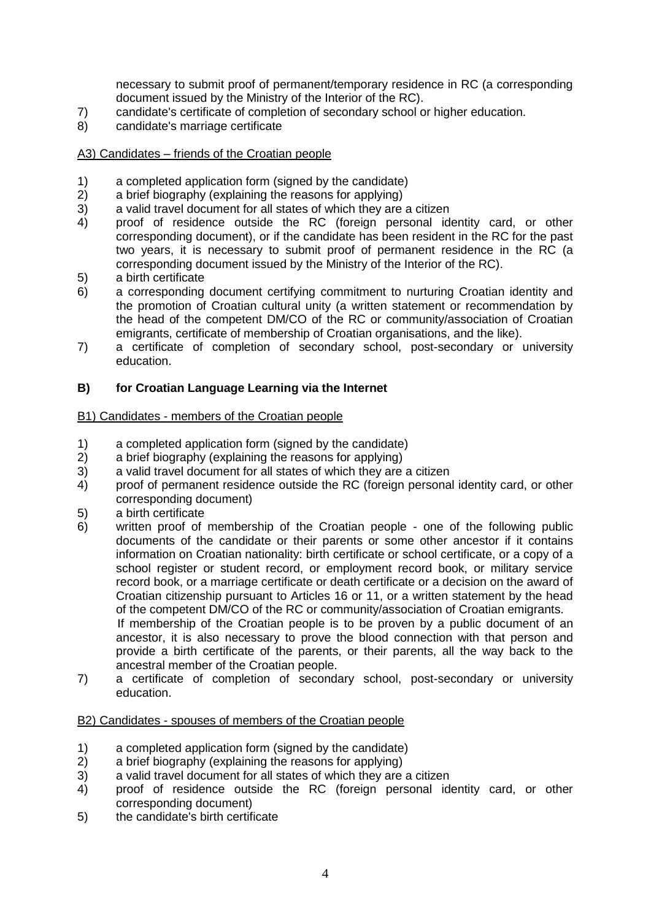necessary to submit proof of permanent/temporary residence in RC (a corresponding document issued by the Ministry of the Interior of the RC).

- 7) candidate's certificate of completion of secondary school or higher education.
- 8) candidate's marriage certificate

### A3) Candidates – friends of the Croatian people

- 1) a completed application form (signed by the candidate)
- 2) a brief biography (explaining the reasons for applying)
- 3) a valid travel document for all states of which they are a citizen
- 4) proof of residence outside the RC (foreign personal identity card, or other corresponding document), or if the candidate has been resident in the RC for the past two years, it is necessary to submit proof of permanent residence in the RC (a corresponding document issued by the Ministry of the Interior of the RC).
- 5) a birth certificate
- 6) a corresponding document certifying commitment to nurturing Croatian identity and the promotion of Croatian cultural unity (a written statement or recommendation by the head of the competent DM/CO of the RC or community/association of Croatian emigrants, certificate of membership of Croatian organisations, and the like).
- 7) a certificate of completion of secondary school, post-secondary or university education.

### **B) for Croatian Language Learning via the Internet**

### B1) Candidates - members of the Croatian people

- 1) a completed application form (signed by the candidate)
- 2) a brief biography (explaining the reasons for applying)
- 3) a valid travel document for all states of which they are a citizen
- 4) proof of permanent residence outside the RC (foreign personal identity card, or other corresponding document)
- 5) a birth certificate
- 6) written proof of membership of the Croatian people one of the following public documents of the candidate or their parents or some other ancestor if it contains information on Croatian nationality: birth certificate or school certificate, or a copy of a school register or student record, or employment record book, or military service record book, or a marriage certificate or death certificate or a decision on the award of Croatian citizenship pursuant to Articles 16 or 11, or a written statement by the head of the competent DM/CO of the RC or community/association of Croatian emigrants. If membership of the Croatian people is to be proven by a public document of an ancestor, it is also necessary to prove the blood connection with that person and provide a birth certificate of the parents, or their parents, all the way back to the ancestral member of the Croatian people.
- 7) a certificate of completion of secondary school, post-secondary or university education.

### B2) Candidates - spouses of members of the Croatian people

- 1) a completed application form (signed by the candidate)
- 2) a brief biography (explaining the reasons for applying)
- 3) a valid travel document for all states of which they are a citizen
- 4) proof of residence outside the RC (foreign personal identity card, or other corresponding document)
- 5) the candidate's birth certificate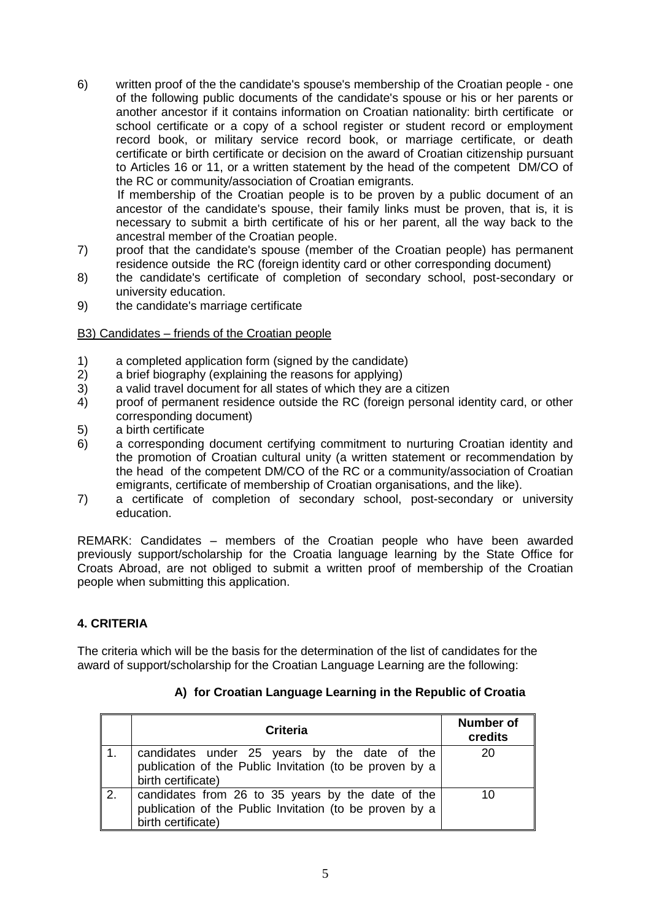- 6) written proof of the the candidate's spouse's membership of the Croatian people one of the following public documents of the candidate's spouse or his or her parents or another ancestor if it contains information on Croatian nationality: birth certificate or school certificate or a copy of a school register or student record or employment record book, or military service record book, or marriage certificate, or death certificate or birth certificate or decision on the award of Croatian citizenship pursuant to Articles 16 or 11, or a written statement by the head of the competent DM/CO of the RC or community/association of Croatian emigrants. If membership of the Croatian people is to be proven by a public document of an ancestor of the candidate's spouse, their family links must be proven, that is, it is necessary to submit a birth certificate of his or her parent, all the way back to the
- ancestral member of the Croatian people. 7) proof that the candidate's spouse (member of the Croatian people) has permanent residence outside the RC (foreign identity card or other corresponding document)
- 8) the candidate's certificate of completion of secondary school, post-secondary or university education.
- 9) the candidate's marriage certificate

### B3) Candidates – friends of the Croatian people

- 1) a completed application form (signed by the candidate)
- 2) a brief biography (explaining the reasons for applying)
- 3) a valid travel document for all states of which they are a citizen
- 4) proof of permanent residence outside the RC (foreign personal identity card, or other corresponding document)
- 5) a birth certificate
- 6) a corresponding document certifying commitment to nurturing Croatian identity and the promotion of Croatian cultural unity (a written statement or recommendation by the head of the competent DM/CO of the RC or a community/association of Croatian emigrants, certificate of membership of Croatian organisations, and the like).
- 7) a certificate of completion of secondary school, post-secondary or university education.

REMARK: Candidates – members of the Croatian people who have been awarded previously support/scholarship for the Croatia language learning by the State Office for Croats Abroad, are not obliged to submit a written proof of membership of the Croatian people when submitting this application.

### **4. CRITERIA**

The criteria which will be the basis for the determination of the list of candidates for the award of support/scholarship for the Croatian Language Learning are the following:

|                  | Criteria                                                                                                                           | <b>Number of</b><br>credits |
|------------------|------------------------------------------------------------------------------------------------------------------------------------|-----------------------------|
|                  | candidates under 25 years by the date of the<br>publication of the Public Invitation (to be proven by a<br>birth certificate)      | 20                          |
| $\overline{2}$ . | candidates from 26 to 35 years by the date of the<br>publication of the Public Invitation (to be proven by a<br>birth certificate) | 10                          |

### **A) for Croatian Language Learning in the Republic of Croatia**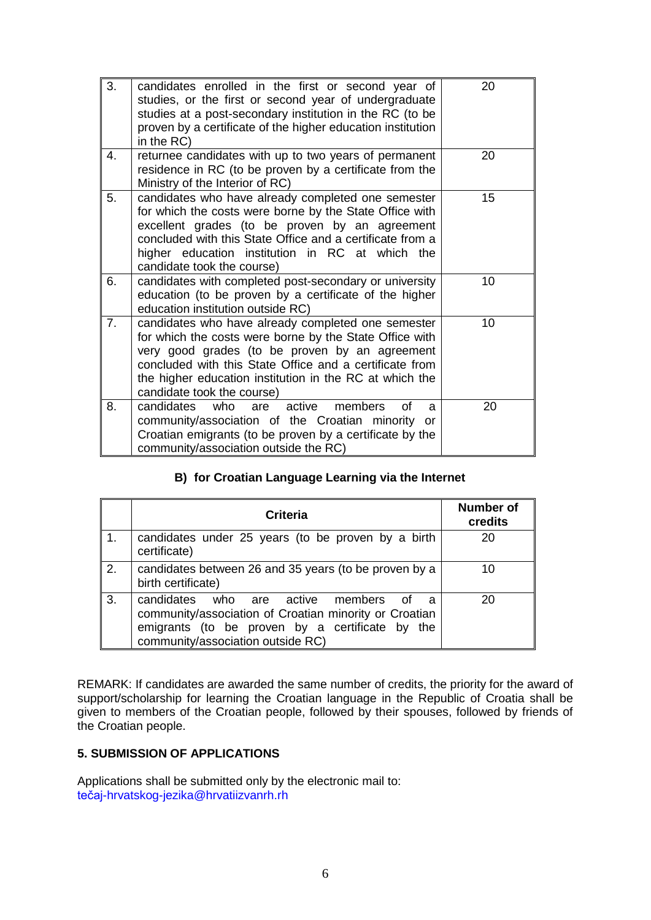| 3. | candidates enrolled in the first or second year of<br>studies, or the first or second year of undergraduate<br>studies at a post-secondary institution in the RC (to be<br>proven by a certificate of the higher education institution<br>in the RC)                                                                | 20 |
|----|---------------------------------------------------------------------------------------------------------------------------------------------------------------------------------------------------------------------------------------------------------------------------------------------------------------------|----|
| 4. | returnee candidates with up to two years of permanent<br>residence in RC (to be proven by a certificate from the<br>Ministry of the Interior of RC)                                                                                                                                                                 | 20 |
| 5. | candidates who have already completed one semester<br>for which the costs were borne by the State Office with<br>excellent grades (to be proven by an agreement<br>concluded with this State Office and a certificate from a<br>higher education institution in RC at which the<br>candidate took the course)       | 15 |
| 6. | candidates with completed post-secondary or university<br>education (to be proven by a certificate of the higher<br>education institution outside RC)                                                                                                                                                               | 10 |
| 7. | candidates who have already completed one semester<br>for which the costs were borne by the State Office with<br>very good grades (to be proven by an agreement<br>concluded with this State Office and a certificate from<br>the higher education institution in the RC at which the<br>candidate took the course) | 10 |
| 8. | who<br>active<br>candidates<br>members<br>Ωf<br>are<br>a<br>community/association of the Croatian minority<br>or<br>Croatian emigrants (to be proven by a certificate by the<br>community/association outside the RC)                                                                                               | 20 |

# **B) for Croatian Language Learning via the Internet**

|                  | <b>Criteria</b>                                                                                                                                                                                     | <b>Number of</b><br>credits |
|------------------|-----------------------------------------------------------------------------------------------------------------------------------------------------------------------------------------------------|-----------------------------|
| $\overline{1}$ . | candidates under 25 years (to be proven by a birth<br>certificate)                                                                                                                                  | 20                          |
| 2.               | candidates between 26 and 35 years (to be proven by a<br>birth certificate)                                                                                                                         | 10                          |
| 3.               | candidates<br>who are active members<br>് റf<br>a<br>community/association of Croatian minority or Croatian<br>emigrants (to be proven by a certificate by the<br>community/association outside RC) | 20                          |

REMARK: If candidates are awarded the same number of credits, the priority for the award of support/scholarship for learning the Croatian language in the Republic of Croatia shall be given to members of the Croatian people, followed by their spouses, followed by friends of the Croatian people.

# **5. SUBMISSION OF APPLICATIONS**

Applications shall be submitted only by the electronic mail to: [tečaj-hrvatskog-jezika@hrvatiizvanrh.rh](mailto:tečaj-hrvatskog-jezika@hrvatiizvanrh.rh)